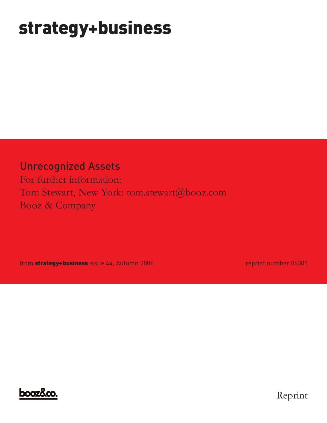# **strategy+business**

Unrecognized Assets

For further information: Tom Stewart, New York: tom.stewart@booz.com Booz & Company

from **strategy+business** issue 44, Autumn 2006 **reprint number 06301** 



Reprint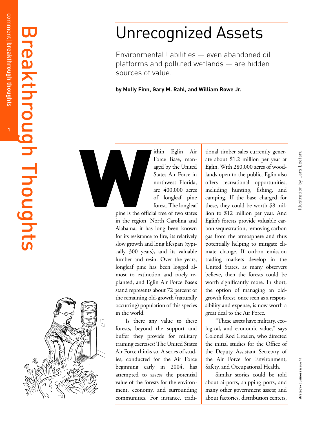### $\overline{\mathbf{u}}$  $\overline{\phantom{0}}$  $\overline{\mathbf{D}}$  $\boldsymbol{\Omega}$ k t  $\overline{\phantom{0}}$  $\overline{\phantom{0}}$ o **C G**  $\overline{\phantom{0}}$  $\blacksquare$  $\overline{\phantom{0}}$ o **C**  $\overline{0}$  $\overline{\phantom{0}}$  $\blacksquare$  $\boldsymbol{\mathsf{S}}$

## Unrecognized Assets

Environmental liabilities — even abandoned oil platforms and polluted wetlands — are hidden sources of value.

**by Molly Finn, Gary M. Rahl, and William Rowe Jr.** 

ithin Eglin Air Force Base, managed by the United States Air Force in northwest Florida, are 400,000 acres of longleaf pine forest. The longleaf

pine is the official tree of two states in the region, North Carolina and Alabama; it has long been known for its resistance to fire, its relatively slow growth and long lifespan (typically 300 years), and its valuable lumber and resin. Over the years, longleaf pine has been logged almost to extinction and rarely replanted, and Eglin Air Force Base's stand represents about 72 percent of the remaining old-growth (naturally occurring) population of this species in the world.

Is there any value to these forests, beyond the support and buffer they provide for military training exercises? The United States Air Force thinks so. A series of studies, conducted for the Air Force beginning early in 2004, has attempted to assess the potential value of the forests for the environment, economy, and surrounding communities. For instance, tradi-

tional timber sales currently generate about \$1.2 million per year at Eglin. With 280,000 acres of woodlands open to the public, Eglin also offers recreational opportunities, including hunting, fishing, and camping. If the base charged for these, they could be worth \$8 million to \$12 million per year. And Eglin's forests provide valuable carbon sequestration, removing carbon gas from the atmosphere and thus potentially helping to mitigate climate change. If carbon emission trading markets develop in the United States, as many observers believe, then the forests could be worth significantly more. In short, the option of managing an oldgrowth forest, once seen as a responsibility and expense, is now worth a great deal to the Air Force. The Equinomeration of the United and States Air Force in States Air Force in States Air Force in States Air Force in States Air Force in and open to the public, Eglin also the equal of the Multiple and States Air Force in

"These assets have military, ecological, and economic value," says Colonel Rod Croslen, who directed the initial studies for the Office of the Deputy Assistant Secretary of the Air Force for Environment, Safety, and Occupational Health.

Similar stories could be told about airports, shipping ports, and many other government assets; and about factories, distribution centers,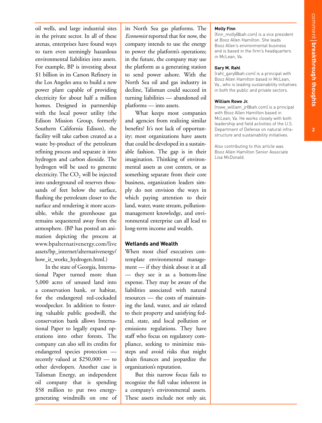oil wells, and large industrial sites in the private sector. In all of these arenas, enterprises have found ways to turn even seemingly hazardous environmental liabilities into assets. For example, BP is investing about \$1 billion in its Carson Refinery in the Los Angeles area to build a new power plant capable of providing electricity for about half a million homes. Designed in partnership with the local power utility (the Edison Mission Group, formerly Southern California Edison), the facility will take carbon created as a waste by-product of the petroleum refining process and separate it into hydrogen and carbon dioxide. The hydrogen will be used to generate electricity. The  $CO<sub>2</sub>$  will be injected into underground oil reserves thousands of feet below the surface, flushing the petroleum closer to the surface and rendering it more accessible, while the greenhouse gas remains sequestered away from the atmosphere. (BP has posted an animation depicting the process at www.bpalternativenergy.com/live assets/bp\_internet/alternativenergy/ how\_it\_works\_hydrogen.html.)

In the state of Georgia, International Paper turned more than 5,000 acres of unused land into a conservation bank, or habitat, for the endangered red-cockaded woodpecker. In addition to fostering valuable public goodwill, the conservation bank allows International Paper to legally expand operations into other forests. The company can also sell its credits for endangered species protection recently valued at \$250,000 — to other developers. Another case is Talisman Energy, an independent oil company that is spending \$58 million to put two energygenerating windmills on one of its North Sea gas platforms. The *Economist* reported that for now, the company intends to use the energy to power the platform's operations; in the future, the company may use the platform as a generating station to send power ashore. With the North Sea oil and gas industry in decline, Talisman could succeed in turning liabilities — abandoned oil platforms — into assets.

What keeps most companies and agencies from realizing similar benefits? It's not lack of opportunity; most organizations have assets that could be developed in a sustainable fashion. The gap is in their imagination. Thinking of environmental assets as cost centers, or as something separate from their core business, organization leaders simply do not envision the ways in which paying attention to their land, water, waste stream, pollutionmanagement knowledge, and environmental enterprise can all lead to long-term income and wealth.

### **Wetlands and Wealth**

When most chief executives contemplate environmental management — if they think about it at all — they see it as a bottom-line expense. They may be aware of the liabilities associated with natural resources — the costs of maintaining the land, water, and air related to their property and satisfying federal, state, and local pollution or emissions regulations. They have staff who focus on regulatory compliance, seeking to minimize missteps and avoid risks that might drain finances and jeopardize the organization's reputation.

But this narrow focus fails to recognize the full value inherent in a company's environmental assets. These assets include not only air,

#### **Molly Finn**

(finn\_molly@bah.com) is a vice president at Booz Allen Hamilton. She leads Booz Allen's environmental business and is based in the firm's headquarters in McLean, Va.

#### **Gary M. Rahl**

(rahl\_gary@bah.com) is a principal with Booz Allen Hamilton based in McLean, Va., who is leading sustainability initiatives in both the public and private sectors.

#### **William Rowe Jr.**

(rowe\_william\_jr@bah.com) is a principal with Booz Allen Hamilton based in McLean, Va. He works closely with both leadership and field activities of the U.S. Department of Defense on natural infrastructure and sustainability initiatives.

Also contributing to this article was Booz Allen Hamilton Senior Associate Lisa McDonald.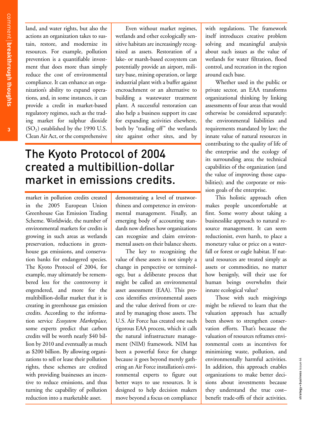land, and water rights, but also the actions an organization takes to sustain, restore, and modernize its resources. For example, pollution prevention is a quantifiable investment that does more than simply reduce the cost of environmental compliance. It can enhance an organization's ability to expand operations, and, in some instances, it can provide a credit in market-based regulatory regimes, such as the trading market for sulphur dioxide  $(SO<sub>2</sub>)$  established by the 1990 U.S. Clean Air Act, or the comprehensive

Even without market regimes, wetlands and other ecologically sensitive habitats are increasingly recognized as assets. Restoration of a lake- or marsh-based ecosystem can potentially provide an airport, military base, mining operation, or large industrial plant with a buffer against encroachment or an alternative to building a wastewater treatment plant. A successful restoration can also help a business support its case for expanding activities elsewhere, both by "trading off" the wetlands site against other sites, and by

## The Kyoto Protocol of 2004 created a multibillion-dollar market in emissions credits.

market in pollution credits created in the 2005 European Union Greenhouse Gas Emission Trading Scheme. Worldwide, the number of environmental markets for credits is growing in such areas as wetlands preservation, reductions in greenhouse gas emissions, and conservation banks for endangered species. The Kyoto Protocol of 2004, for example, may ultimately be remembered less for the controversy it engendered, and more for the multibillion-dollar market that it is creating in greenhouse gas emission credits. According to the information service *Ecosystem Marketplace,* some experts predict that carbon credits will be worth nearly \$40 billion by 2010 and eventually as much as \$200 billion. By allowing organizations to sell or lease their pollution rights, these schemes are credited with providing businesses an incentive to reduce emissions, and thus turning the capability of pollution reduction into a marketable asset.

demonstrating a level of trustworthiness and competence in environmental management. Finally, an emerging body of accounting standards now defines how organizations can recognize and claim environmental assets on their balance sheets.

The key to recognizing the value of these assets is not simply a change in perspective or terminology, but a deliberate process that might be called an environmental asset assessment (EAA). This process identifies environmental assets and the value derived from or created by managing those assets. The U.S. Air Force has created one such rigorous EAA process, which it calls the natural infrastructure management (NIM) framework. NIM has been a powerful force for change because it goes beyond merely gathering an Air Force installation's environmental experts to figure out better ways to use resources. It is designed to help decision makers move beyond a focus on compliance with regulations. The framework itself introduces creative problem solving and meaningful analysis about such issues as the value of wetlands for water filtration, flood control, and recreation in the region around each base.

Whether used in the public or private sector, an EAA transforms organizational thinking by linking assessments of four areas that would otherwise be considered separately: the environmental liabilities and requirements mandated by law; the innate value of natural resources in contributing to the quality of life of the enterprise and the ecology of its surrounding area; the technical capabilities of the organization (and the value of improving those capabilities); and the corporate or mission goals of the enterprise.

This holistic approach often makes people uncomfortable at first. Some worry about taking a businesslike approach to natural resource management. It can seem reductionist, even harsh, to place a monetary value or price on a waterfall or forest or eagle habitat. If natural resources are treated simply as assets or commodities, no matter how benignly, will their use for human beings overwhelm their innate ecological value?

Those with such misgivings might be relieved to learn that the valuation approach has actually been shown to strengthen conservation efforts. That's because the valuation of resources reframes environmental costs as incentives for minimizing waste, pollution, and environmentally harmful activities. In addition, this approach enables organizations to make better decisions about investments because they understand the true cost– benefit trade-offs of their activities.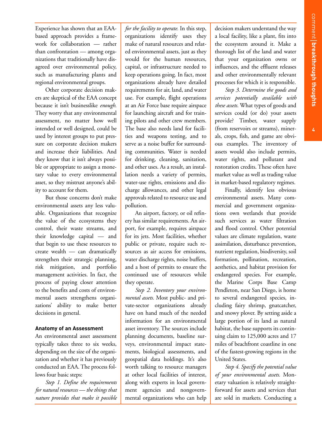Experience has shown that an EAAbased approach provides a framework for collaboration — rather than confrontation — among organizations that traditionally have disagreed over environmental policy, such as manufacturing plants and regional environmental groups.

Other corporate decision makers are skeptical of the EAA concept because it isn't businesslike *enough*. They worry that any environmental assessment, no matter how well intended or well designed, could be used by interest groups to put pressure on corporate decision makers and increase their liabilities. And they know that it isn't always possible or appropriate to assign a monetary value to every environmental asset, so they mistrust anyone's ability to account for them.

But those concerns don't make environmental assets any less valuable. Organizations that recognize the value of the ecosystems they control, their waste streams, and their knowledge capital — and that begin to use these resources to create wealth — can dramatically strengthen their strategic planning, risk mitigation, and portfolio management activities. In fact, the process of paying closer attention to the benefits and costs of environmental assets strengthens organizations' ability to make better decisions in general.

#### **Anatomy of an Assessment**

An environmental asset assessment typically takes three to six weeks, depending on the size of the organization and whether it has previously conducted an EAA. The process follows four basic steps:

*Step 1. Define the requirements for natural resources — the things that nature provides that make it possible* *for the facility to operate.* In this step, organizations identify uses they make of natural resources and related environmental assets, just as they would for the human resources, capital, or infrastructure needed to keep operations going. In fact, most organizations already have detailed requirements for air, land, and water use. For example, flight operations at an Air Force base require airspace for launching aircraft and for training pilots and other crew members. The base also needs land for facilities and weapons testing, and to serve as a noise buffer for surrounding communities. Water is needed for drinking, cleaning, sanitation, and other uses. As a result, an installation needs a variety of permits, water-use rights, emissions and discharge allowances, and other legal approvals related to resource use and pollution.

An airport, factory, or oil refinery has similar requirements. An airport, for example, requires airspace for its jets. Most facilities, whether public or private, require such resources as air access for emissions, water discharge rights, noise buffers, and a host of permits to ensure the continued use of resources while they operate.

*Step 2. Inventory your environmental assets.* Most public- and private-sector organizations already have on hand much of the needed information for an environmental asset inventory. The sources include planning documents, baseline surveys, environmental impact statements, biological assessments, and geospatial data holdings. It's also worth talking to resource managers at other local facilities of interest, along with experts in local government agencies and nongovernmental organizations who can help

decision makers understand the way a local facility, like a plant, fits into the ecosystem around it. Make a thorough list of the land and water that your organization owns or influences, and the effluent releases and other environmentally relevant processes for which it is responsible.

*Step 3. Determine the goods and services potentially available with these assets.* What types of goods and services could (or do) your assets provide? Timber, water supply (from reservoirs or streams), minerals, crops, fish, and game are obvious examples. The inventory of assets would also include permits, water rights, and pollutant and restoration credits. These often have market value as well as trading value in market-based regulatory regimes.

Finally, identify less obvious environmental assets. Many commercial and government organizations own wetlands that provide such services as water filtration and flood control. Other potential values are climate regulation, waste assimilation, disturbance prevention, nutrient regulation, biodiversity, soil formation, pollination, recreation, aesthetics, and habitat provision for endangered species. For example, the Marine Corps Base Camp Pendleton, near San Diego, is home to several endangered species, including fairy shrimp, gnatcatcher, and snowy plover. By setting aside a large portion of its land as natural habitat, the base supports its continuing claim to 125,000 acres and 17 miles of beachfront coastline in one of the fastest-growing regions in the United States.

*Step 4. Specify the potential value of your environmental assets.* Monetary valuation is relatively straightforward for assets and services that are sold in markets. Conducting a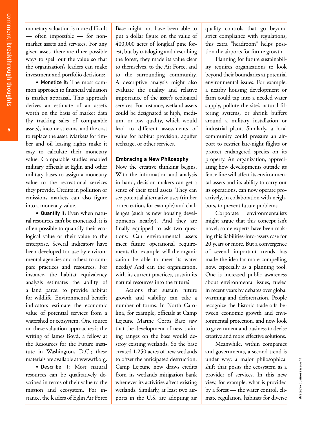monetary valuation is more difficult — often impossible — for nonmarket assets and services. For any given asset, there are three possible ways to spell out the value so that the organization's leaders can make investment and portfolio decisions:

• Monetize it: The most common approach to financial valuation is market appraisal. This approach derives an estimate of an asset's worth on the basis of market data (by tracking sales of comparable assets), income streams, and the cost to replace the asset. Markets for timber and oil leasing rights make it easy to calculate their monetary value. Comparable studies enabled military officials at Eglin and other military bases to assign a monetary value to the recreational services they provide. Credits in pollution or emissions markets can also figure into a monetary value.

• Quantify it: Even when natural resources can't be monetized, it is often possible to quantify their ecological value or their value to the enterprise. Several indicators have been developed for use by environmental agencies and others to compare practices and resources. For instance, the habitat equivalency analysis estimates the ability of a land parcel to provide habitat for wildlife. Environmental benefit indicators estimate the economic value of potential services from a watershed or ecosystem. One source on these valuation approaches is the writing of James Boyd, a fellow at the Resources for the Future institute in Washington, D.C.; these materials are available at www.rff.org.

• Describe it: Most natural resources can be qualitatively described in terms of their value to the mission and ecosystem. For instance, the leaders of Eglin Air Force

Base might not have been able to put a dollar figure on the value of 400,000 acres of longleaf pine forest, but by cataloging and describing the forest, they made its value clear to themselves, to the Air Force, and to the surrounding community. A descriptive analysis might also evaluate the quality and relative importance of the asset's ecological services. For instance, wetland assets could be designated as high, medium, or low quality, which would lead to different assessments of value for habitat provision, aquifer recharge, or other services.

#### **Embracing a New Philosophy**

Now the creative thinking begins. With the information and analysis in hand, decision makers can get a sense of their total assets. They can see potential alternative uses (timber or recreation, for example) and challenges (such as new housing developments nearby). And they are finally equipped to ask two questions: Can environmental assets meet future operational requirements (for example, will the organization be able to meet its water needs)? And can the organization, with its current practices, sustain its natural resources into the future?

Actions that sustain future growth and viability can take a number of forms. In North Carolina, for example, officials at Camp Lejeune Marine Corps Base saw that the development of new training ranges on the base would destroy existing wetlands. So the base created 1,250 acres of new wetlands to offset the anticipated destruction. Camp Lejeune now draws credits from its wetlands mitigation bank whenever its activities affect existing wetlands. Similarly, at least two airports in the U.S. are adopting air quality controls that go beyond strict compliance with regulations; this extra "headroom" helps position the airports for future growth.

Planning for future sustainability requires organizations to look beyond their boundaries at potential environmental issues. For example, a nearby housing development or farm could tap into a needed water supply, pollute the site's natural filtering systems, or shrink buffers around a military installation or industrial plant. Similarly, a local community could pressure an airport to restrict late-night flights or protect endangered species on its property. An organization, appreciating how developments outside its fence line will affect its environmental assets and its ability to carry out its operations, can now operate proactively, in collaboration with neighbors, to prevent future problems.

Corporate environmentalists might argue that this concept isn't novel; some experts have been making this liabilities-into-assets case for 20 years or more. But a convergence of several important trends has made the idea far more compelling now, especially as a planning tool. One is increased public awareness about environmental issues, fueled in recent years by debates over global warming and deforestation. People recognize the historic trade-offs between economic growth and environmental protection, and now look to government and business to devise creative and more effective solutions.

Meanwhile, within companies and governments, a second trend is under way: a major philosophical shift that posits the ecosystem as a provider of services. In this new view, for example, what is provided by a forest — the water control, climate regulation, habitats for diverse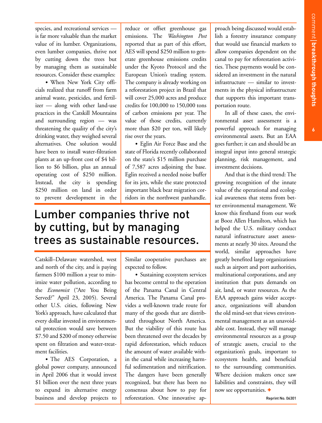species, and recreational services is far more valuable than the market value of its lumber. Organizations, even lumber companies, thrive not by cutting down the trees but by managing them as sustainable resources. Consider these examples:

• When New York City officials realized that runoff from farm animal waste, pesticides, and fertilizer — along with other land-use practices in the Catskill Mountains and surrounding region — was threatening the quality of the city's drinking water, they weighed several alternatives. One solution would have been to install water-filtration plants at an up-front cost of \$4 billion to \$6 billion, plus an annual operating cost of \$250 million. Instead, the city is spending \$250 million on land in order to prevent development in the

reduce or offset greenhouse gas emissions. The *Washington Post* reported that as part of this effort, AES will spend \$250 million to generate greenhouse emissions credits under the Kyoto Protocol and the European Union's trading system. The company is already working on a reforestation project in Brazil that will cover 25,000 acres and produce credits for 100,000 to 150,000 tons of carbon emissions per year. The value of those credits, currently more than \$20 per ton, will likely rise over the years.

• Eglin Air Force Base and the state of Florida recently collaborated on the state's \$15 million purchase of 7,587 acres adjoining the base. Eglin received a needed noise buffer for its jets, while the state protected important black bear migration corridors in the northwest panhandle.

## Lumber companies thrive not by cutting, but by managing trees as sustainable resources.

Catskill–Delaware watershed, west and north of the city, and is paying farmers \$100 million a year to minimize water pollution, according to the *Economist* ("Are You Being Served?" April 23, 2005). Several other U.S. cities, following New York's approach, have calculated that every dollar invested in environmental protection would save between \$7.50 and \$200 of money otherwise spent on filtration and water-treatment facilities.

• The AES Corporation, a global power company, announced in April 2006 that it would invest \$1 billion over the next three years to expand its alternative energy business and develop projects to

Similar cooperative purchases are expected to follow.

• Sustaining ecosystem services has become central to the operation of the Panama Canal in Central America. The Panama Canal provides a well-known trade route for many of the goods that are distributed throughout North America. But the viability of this route has been threatened over the decades by rapid deforestation, which reduces the amount of water available within the canal while increasing harmful sedimentation and nitrification. The dangers have been generally recognized, but there has been no consensus about how to pay for reforestation. One innovative approach being discussed would establish a forestry insurance company that would use financial markets to allow companies dependent on the canal to pay for reforestation activities. These payments would be considered an investment in the natural infrastructure — similar to investments in the physical infrastructure that supports this important transportation route.

In all of these cases, the environmental asset assessment is a powerful approach for managing environmental assets. But an EAA goes further; it can and should be an integral input into general strategic planning, risk management, and investment decisions.

And that is the third trend: The growing recognition of the innate value of the operational and ecological awareness that stems from better environmental management. We know this firsthand from our work at Booz Allen Hamilton, which has helped the U.S. military conduct natural infrastructure asset assessments at nearly 30 sites. Around the world, similar approaches have greatly benefited large organizations such as airport and port authorities, multinational corporations, and any institution that puts demands on air, land, or water resources. As the EAA approach gains wider acceptance, organizations will abandon the old mind-set that views environmental management as an unavoidable cost. Instead, they will manage environmental resources as a group of strategic assets, crucial to the organization's goals, important to ecosystem health, and beneficial to the surrounding communities. Where decision makers once saw liabilities and constraints, they will now see opportunities. **+**

Reprint No. 06301